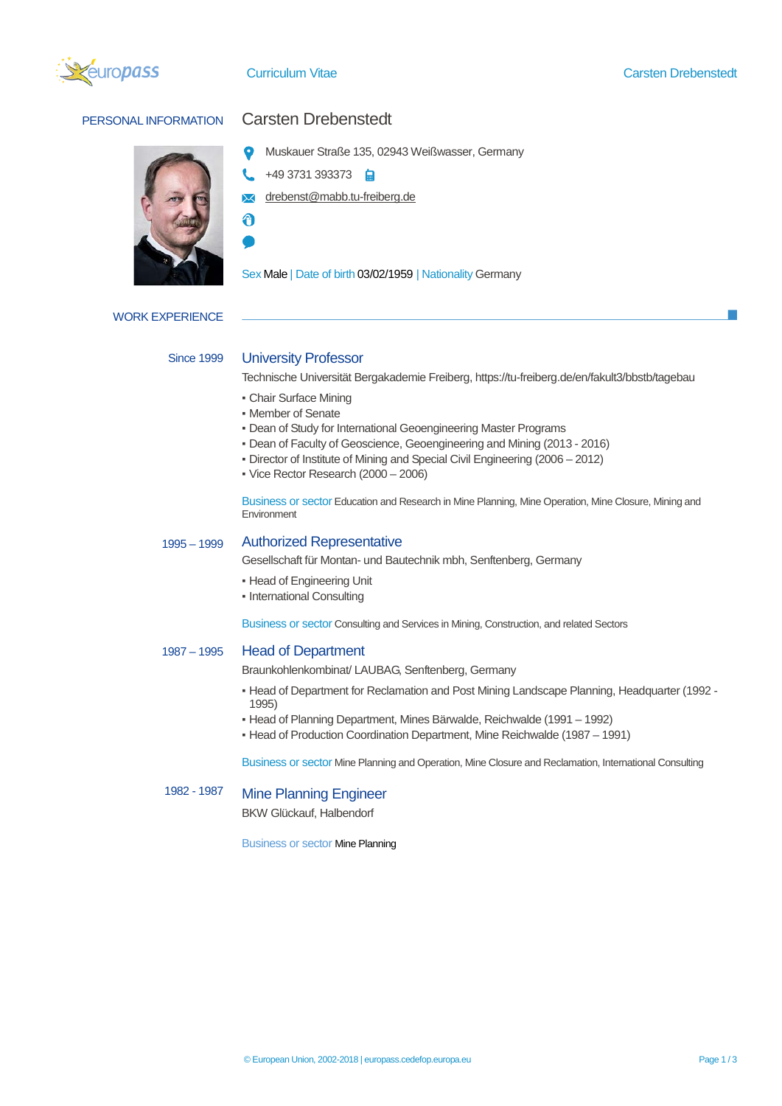



# PERSONAL INFORMATION Carsten Drebenstedt

- Muskauer Straße 135, 02943 Weißwasser, Germany
- +49 3731 393373
- **M** drebenst@mabb.tu-freiberg.de
- A

Sex Male | Date of birth 03/02/1959 | Nationality Germany

WORK EXPERIENCE

## Since 1999

# University Professor

Technische Universität Bergakademie Freiberg, https://tu-freiberg.de/en/fakult3/bbstb/tagebau

- Chair Surface Mining
- Member of Senate
- Dean of Study for International Geoengineering Master Programs
- Dean of Faculty of Geoscience, Geoengineering and Mining (2013 2016)
- Director of Institute of Mining and Special Civil Engineering (2006 2012)
- Vice Rector Research (2000 2006)

Business or sector Education and Research in Mine Planning, Mine Operation, Mine Closure, Mining and Environment

### 1995 – 1999 Authorized Representative

Gesellschaft für Montan- und Bautechnik mbh, Senftenberg, Germany

- **Head of Engineering Unit**
- International Consulting

Business or sector Consulting and Services in Mining, Construction, and related Sectors

### 1987 – 1995 Head of Department

Braunkohlenkombinat/ LAUBAG, Senftenberg, Germany

- Head of Department for Reclamation and Post Mining Landscape Planning, Headquarter (1992 1995)
- Head of Planning Department, Mines Bärwalde, Reichwalde (1991 1992)
- Head of Production Coordination Department, Mine Reichwalde (1987 1991)

Business or sector Mine Planning and Operation, Mine Closure and Reclamation, International Consulting

### 1982 - 1987 Mine Planning Engineer

BKW Glückauf, Halbendorf

Business or sector Mine Planning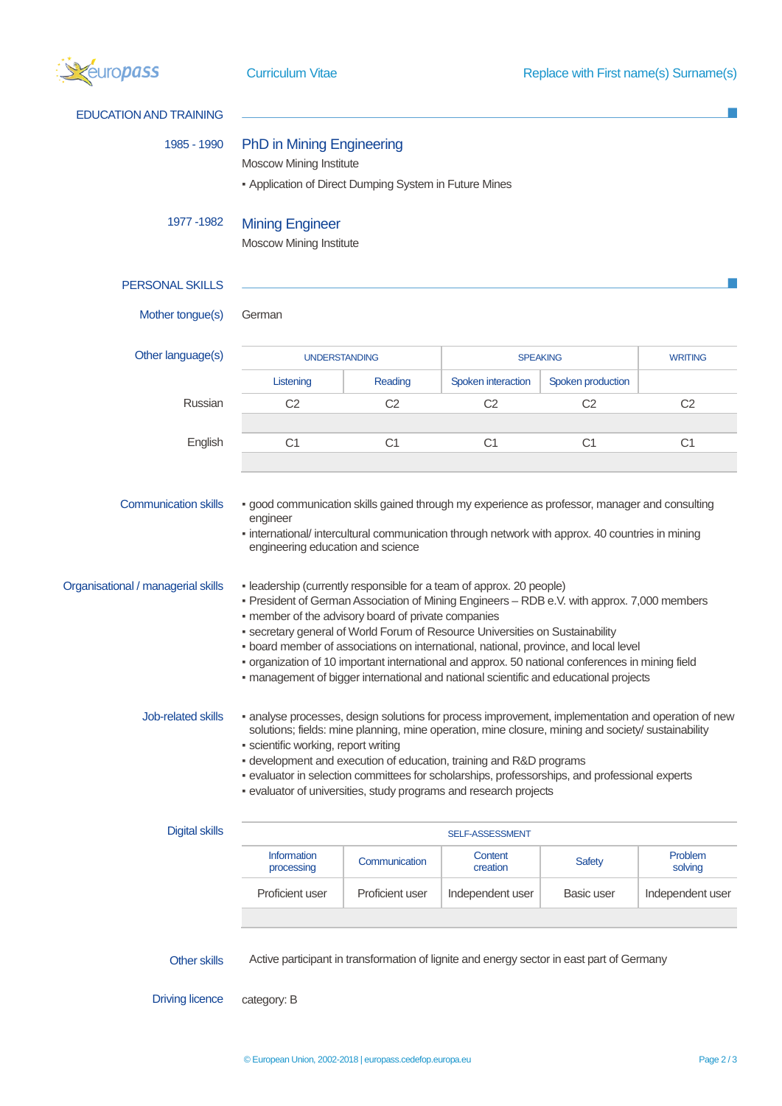

| <b>EDUCATION AND TRAINING</b>      |                                                                                                                                                                                                                                                                                                                                                                                                                                                                                                                                                                                                  |                 |                                                                                           |                                   |                    |
|------------------------------------|--------------------------------------------------------------------------------------------------------------------------------------------------------------------------------------------------------------------------------------------------------------------------------------------------------------------------------------------------------------------------------------------------------------------------------------------------------------------------------------------------------------------------------------------------------------------------------------------------|-----------------|-------------------------------------------------------------------------------------------|-----------------------------------|--------------------|
| 1985 - 1990                        | <b>PhD in Mining Engineering</b><br><b>Moscow Mining Institute</b><br>- Application of Direct Dumping System in Future Mines                                                                                                                                                                                                                                                                                                                                                                                                                                                                     |                 |                                                                                           |                                   |                    |
| 1977 - 1982                        | <b>Mining Engineer</b><br>Moscow Mining Institute                                                                                                                                                                                                                                                                                                                                                                                                                                                                                                                                                |                 |                                                                                           |                                   |                    |
| <b>PERSONAL SKILLS</b>             |                                                                                                                                                                                                                                                                                                                                                                                                                                                                                                                                                                                                  |                 |                                                                                           |                                   |                    |
| Mother tongue(s)                   | German                                                                                                                                                                                                                                                                                                                                                                                                                                                                                                                                                                                           |                 |                                                                                           |                                   |                    |
| Other language(s)                  | <b>UNDERSTANDING</b>                                                                                                                                                                                                                                                                                                                                                                                                                                                                                                                                                                             |                 |                                                                                           | <b>SPEAKING</b><br><b>WRITING</b> |                    |
|                                    | Listening                                                                                                                                                                                                                                                                                                                                                                                                                                                                                                                                                                                        | Reading         | Spoken interaction                                                                        | Spoken production                 |                    |
| Russian                            | C <sub>2</sub>                                                                                                                                                                                                                                                                                                                                                                                                                                                                                                                                                                                   | C <sub>2</sub>  | C <sub>2</sub>                                                                            | C <sub>2</sub>                    | C <sub>2</sub>     |
| English                            | C <sub>1</sub>                                                                                                                                                                                                                                                                                                                                                                                                                                                                                                                                                                                   | C <sub>1</sub>  | C <sub>1</sub>                                                                            | C <sub>1</sub>                    | C <sub>1</sub>     |
| Organisational / managerial skills | - leadership (currently responsible for a team of approx. 20 people)<br>- President of German Association of Mining Engineers - RDB e.V. with approx. 7,000 members<br>- member of the advisory board of private companies<br>• secretary general of World Forum of Resource Universities on Sustainability<br>. board member of associations on international, national, province, and local level<br>- organization of 10 important international and approx. 50 national conferences in mining field<br>- management of bigger international and national scientific and educational projects |                 |                                                                                           |                                   |                    |
| Job-related skills                 | • analyse processes, design solutions for process improvement, implementation and operation of new<br>solutions; fields: mine planning, mine operation, mine closure, mining and society/ sustainability<br>· scientific working, report writing<br>- development and execution of education, training and R&D programs<br>- evaluator in selection committees for scholarships, professorships, and professional experts<br>· evaluator of universities, study programs and research projects                                                                                                   |                 |                                                                                           |                                   |                    |
| <b>Digital skills</b>              | SELF-ASSESSMENT                                                                                                                                                                                                                                                                                                                                                                                                                                                                                                                                                                                  |                 |                                                                                           |                                   |                    |
|                                    | Information<br>processing                                                                                                                                                                                                                                                                                                                                                                                                                                                                                                                                                                        | Communication   | Content<br>creation                                                                       | <b>Safety</b>                     | Problem<br>solving |
|                                    | Proficient user                                                                                                                                                                                                                                                                                                                                                                                                                                                                                                                                                                                  | Proficient user | Independent user                                                                          | Basic user                        | Independent user   |
| Other skills                       |                                                                                                                                                                                                                                                                                                                                                                                                                                                                                                                                                                                                  |                 | Active participant in transformation of lignite and energy sector in east part of Germany |                                   |                    |

Driving licence category: B